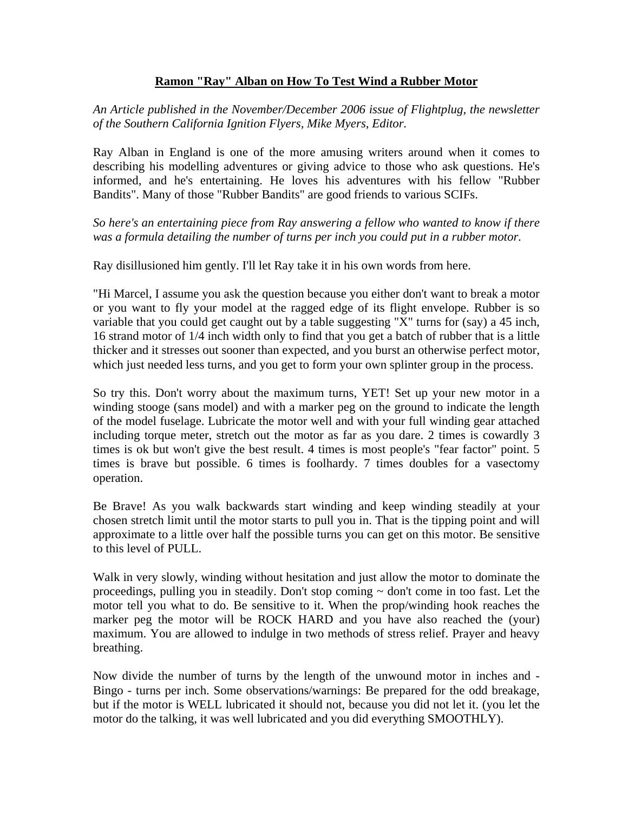## **Ramon "Ray" Alban on How To Test Wind a Rubber Motor**

*An Article published in the November/December 2006 issue of Flightplug, the newsletter of the Southern California Ignition Flyers, Mike Myers, Editor.*

Ray Alban in England is one of the more amusing writers around when it comes to describing his modelling adventures or giving advice to those who ask questions. He's informed, and he's entertaining. He loves his adventures with his fellow "Rubber Bandits". Many of those "Rubber Bandits" are good friends to various SCIFs.

*So here's an entertaining piece from Ray answering a fellow who wanted to know if there was a formula detailing the number of turns per inch you could put in a rubber motor.*

Ray disillusioned him gently. I'll let Ray take it in his own words from here.

"Hi Marcel, I assume you ask the question because you either don't want to break a motor or you want to fly your model at the ragged edge of its flight envelope. Rubber is so variable that you could get caught out by a table suggesting "X" turns for (say) a 45 inch, 16 strand motor of 1/4 inch width only to find that you get a batch of rubber that is a little thicker and it stresses out sooner than expected, and you burst an otherwise perfect motor, which just needed less turns, and you get to form your own splinter group in the process.

So try this. Don't worry about the maximum turns, YET! Set up your new motor in a winding stooge (sans model) and with a marker peg on the ground to indicate the length of the model fuselage. Lubricate the motor well and with your full winding gear attached including torque meter, stretch out the motor as far as you dare. 2 times is cowardly 3 times is ok but won't give the best result. 4 times is most people's "fear factor" point. 5 times is brave but possible. 6 times is foolhardy. 7 times doubles for a vasectomy operation.

Be Brave! As you walk backwards start winding and keep winding steadily at your chosen stretch limit until the motor starts to pull you in. That is the tipping point and will approximate to a little over half the possible turns you can get on this motor. Be sensitive to this level of PULL.

Walk in very slowly, winding without hesitation and just allow the motor to dominate the proceedings, pulling you in steadily. Don't stop coming ~ don't come in too fast. Let the motor tell you what to do. Be sensitive to it. When the prop/winding hook reaches the marker peg the motor will be ROCK HARD and you have also reached the (your) maximum. You are allowed to indulge in two methods of stress relief. Prayer and heavy breathing.

Now divide the number of turns by the length of the unwound motor in inches and - Bingo - turns per inch. Some observations/warnings: Be prepared for the odd breakage, but if the motor is WELL lubricated it should not, because you did not let it. (you let the motor do the talking, it was well lubricated and you did everything SMOOTHLY).